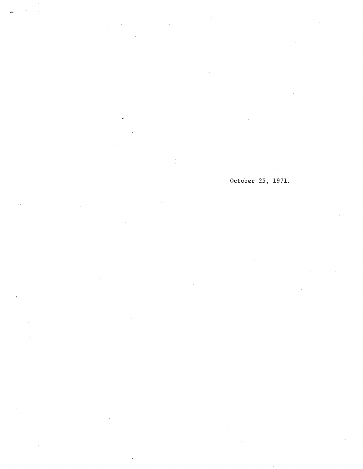$\bar{1}$ 

October 25, 1971.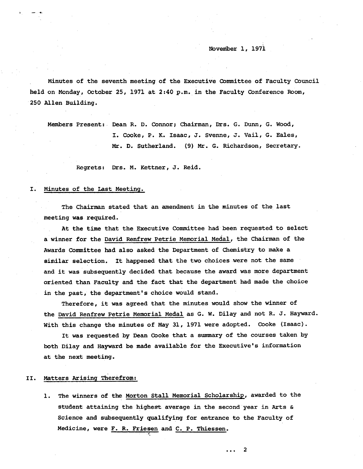Noveniber 1, 1971

Minutes of the seventh meeting of the Executive Committee of Faculty Council held on Monday, October 25, 1971 at 2:40 p.m. in the Faculty Conference Boom, 250 Allen Building.

Members Present: Dean R. D. Connor; Chairman, Drs. G. Dunn, G. Wood, I. Cooke, P. K. Isaac, J. Svenne, J. Vail, G. Eales, Mr. D. Sutherland. (9) Mr. G. Richardson, Secretary.

Regrets: Drs. M. Kettner, J. Reid.

#### I. Minutes of the Last Meeting.

The Chairman stated that an amendment in the minutes of the last meeting was. required.

At the time that the Executive Committee had been requested to select a winner for the David Renfrew Petrie Memorial Medal, the Chairman of the Awards Committee had also asked the Department of chemistry to make a similar selection. It happened that the two choices were not the same and it was subsequently decided that because the award was more department oriented than Faculty and the fact that the department had made the choice in the past, the department's choice would stand.

Therefore, it was agreed that the minutes would show the winner of the David Renfrew Petrie Memorial Medal as G. W. Dilay and not R. J. Hayward. With this change the minutes of May 31, 1971 were adopted. Cooke (Isaac).

It was requested by Dean Cooke that a summary of the courses taken by both Dilay and Hayward be made available for the Executive's information at the next meeting.

### Matters Arising Therefrom: II.

1. The winners of the Morton Stall Memorial Scholarship, awarded to the student attaining the highest average in the second year in Arts  $\alpha$ Science and subsequently qualifying for entrance to the Faculty of Medicine, were F. R. Friesen and C. P. Thiessen.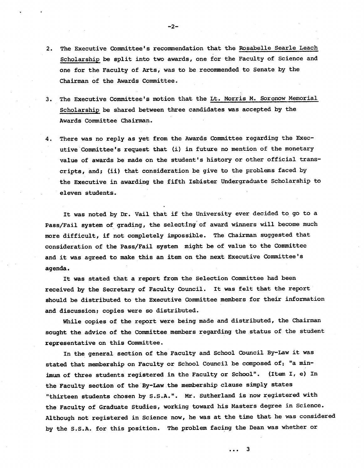- 2. The Executive Committee's recommendation that the Rosabelle Searle Leach Scholarship be split into two awards, one for the Faculty of Science and one for the Faculty of Arts, was to be recommended to Senate by the Chairman of the Awards Committee.
- The Executive Committee's motion that the Lt. Morris M. Soronow Memorial  $3.$ Scholarship be shared between three candidates was accepted by the Awards Committee Chairman.
- There was no reply as yet from the Awards Committee regarding the Exec-4. utive Committee's request that (i) in future no mention of the monetary value of awards be made on the student's history or other official transcripts, and; (ii) that consideration be give to the problems faced by the Executive in awarding the fifth Isbister Undergraduate Scholarship to eleven students.

It was noted by Dr. Vail that if the University ever decided to go to a Pass/Fail system of grading, the selecting of award winners will become much more difficult, if not completely impossible. The Chairman suggested that consideration of the Pass/Fail system might be of value to the Committee and it was agreed to make this an item on the next Executive Committee's agenda.

It was stated that a report from the Selection Committee had been received by the Secretary of Faculty Council. It was felt that the report should be distributed to the Executive Committee members for their information and discussion; copies were so distributed.

While copies of the report were being made and distributed, the Chairman sought the advice of the Committee members regarding the status of the student representative on this Committee.

In the general section of the Faculty and School Council By-Law it was stated that membership on Faculty or School Council be composed of: "a minimum of three students registered in the Faculty or School". (Item I, e) In the Faculty section of the By-Law the membership clause simply states "thirteen students chosen by S.S.A.". Mr. Sutherland is now registered with the Faculty of Graduate Studies, working toward his Masters degree in Science. Although not registered in Science now, he was at the time that he was considered by the S.S.A. for this position. The problem facing the Dean was whether or

... 3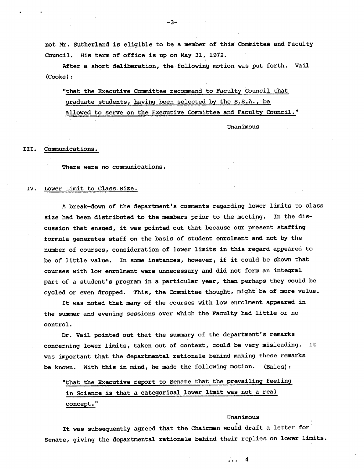not Mr. Sutherland is eligible to be a member of this Committee and Faculty Council. His term of office is up on May 31, 1972.

After a short deliberation, the following motion was put forth. Vail (COoke):

"that the Executive Committee recommend to Faculty Council that graduate students, having been selected by the S.S.A., be allowed to serve on the Executive Committee and Faculty Council."

Unanimous

#### III. Communications.

There were no communications.

## IV. Lower Limit to Class Size.

A break-down of the department's comments regarding lower limits to class size had been distributed to the members prior to the meeting. In the discussion that ensued, it was pointed out that because our present staffing formula generates staff on the basis of student enrolment and not by the number of courses, consideration of lower limits in this regard appeared to be of little value. In some instances, however, if it could be shown that courses with low enrolment were unnecessary and did not form an integral part of a student's program in a particular year, then perhaps they could be cycled or even dropped. This, the Committee thought, might be of more value.

It was noted that many of the courses with low enrolment appeared in the summer and evening sessions over which the Faculty had little or no control.

Dr. Vail pointed out that the summary of the department's remarks concerning lower limits, taken out of context, could be very misleading. It was important that the departmental rationale behind making these remarks be known. With this in mind, he made the following motion. (Eales):

"that the Executive report to Senate that the prevailing feeling in Science is that a categorical lower limit was not a real concept."

## Unanimous

... 4

It was subsequently agreed that the Chairman would draft a letter for Senate, giving the departmental rationale behind their replies on lower limits.

 $-3-$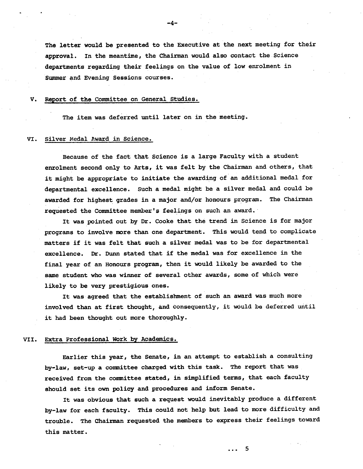The letter would be presented to the Executive at the next meeting for their approval. In the meantime, the Chairman would also contact the Science departments regarding their feelings on the value of low enrolment in Summer and Evening Sessions courses.

#### Report of the Committee on General Studies. V.

The item was deferred until later on in the meeting.

## VI. Silver Medal Award in Science.

Because of the fact that Science is a large Faculty with a student enrolment second only to Arts, it was felt by the Chairman and others, that it might be appropriate to initiate the awarding of an additional medal for departmental excellence. Such a medal might be a silver medal and could be awarded for highest grades in a major and/or honours program. The Chairman requested the Committee member's feelings on such an award.

It was pointed out by Dr. Cooke that the trend in Science is for major programs to involve more than one department. This would tend to complicate matters if it was felt that such a silver medal was to be for departmental excellence. Dr. Dunn stated that if the medal was for excellence in the final year of an Honours program, then it would likely be awarded to the same student who was winner of several other awards, some of which were likely to be very prestigious ones.

It was agreed that the establishment of such an award was much more involved than at first thought, and consequently, it would be deferred until it had been thought out more thoroughly.

#### VII. **Extra** Professional Work by Academics.

Earlier this year, the Senate, in an attempt to establish a consulting by-law, set-up a committee charged with this task. The report that was received from the committee stated, in simplified terms, that each faculty should set its own policy and procedures and inform Senate.

It was obvious that such a request would inevitably produce a different by-law for each faculty. This could not help but lead to more difficulty and trouble. The Chairman requested the members to express their feelings toward this matter.

-4-

 $\cdots$  5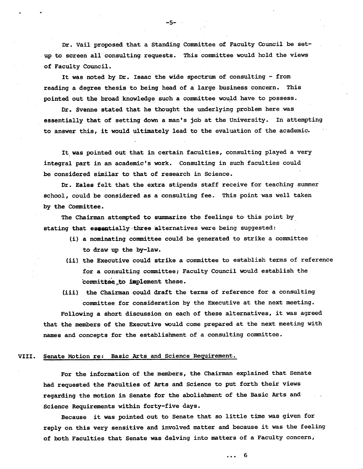Dr. Vail proposed that a Standing Committee of Faculty Council be setup to screen all consulting requests. This committee would hold the views of Faculty Council.

It was noted by Dr. Isaac the wide spectrum of consulting - from reading a degree thesis to being head of a large business concern. This pointed out the broad knowledge such a committee would have to possess.

Dr. Svenne stated that he thought the underlying problem here was essentially that of setting down a man's job at the University. In attempting to answer this, it would ultimately lead to the evaluation of the academic.

It was pointed out that in certain faculties, consulting played a very integral part in an academic's work. Consulting in such faculties could be considered similar to that of research in Science.

Dr. Eales felt that the extra stipends staff receive for teaching summer school, could be considered as a consulting fee. This point was well taken by the Committee.

The Chairman attempted to summarize the feelings to this point by stating that essentially three alternatives were being suggested:

- a nominating committee could be generated to strike a committee to draw up the by-law.
- (ii) the Executive could strike a committee to establish terms of reference for a consulting committee; Faculty Council would establish the committee to implement these.
- (iii) the Chairman could draft the terms of reference for a consulting committee for consideration by the Executive at the next meeting.

Following a short discussion on each of these alternatives, it was agreed that the members of the Executive would come prepared at the next meeting with names and concepts for the establishment of a consulting committee.

## VIII. Senate Motion re: Basic 2rts and Science Requirement.

For the information of the members, the Chairman explained that Senate had requested the Faculties of arts and Science to put forth their views regarding the motion in Senate for the abolishment of the Basic Arts and Science Requirements within forty-five days.

Because it was pointed out to Senate that so little time was given for reply on this very sensitive and involved matter and because it was the feeling of both Faculties that Senate was delving into matters of a Faculty concern,

-5-

... 6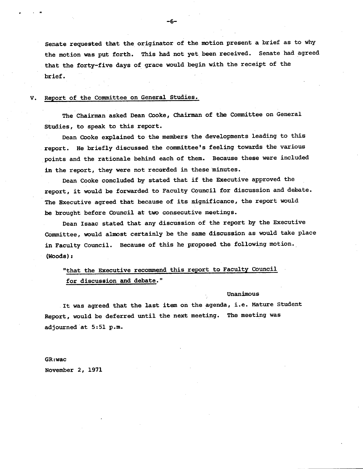Senate requested that the originator of the motion present a brief as to why the motion was put forth. This had not yet been received. Senate had agreed that the forty-five days of grace would begin with the receipt of the brief.

## V. Report of the Committee on General Studies.

The Chairman asked Dean Cooke, Chairman of the Committee on General Studies, to speak to this report.

Dean Cooke explained to the members the developments leading to this report. He briefly discussed the committee's feeling towards the various points and the rationale behind each of them. Because these were included **in** the report, they were not recorded in these minutes.

Dean Cooke concluded by stated that if the Executive approved the report, it would be forwarded to Faculty Council for discussion and debate. The Executive agreed that because of its significance, the report would be brought before Council at two consecutive meetings.

Dean Isaac stated that any discussion of the report by the Executive Committee, would almost certainly be the same discussion as would take place in Faculty Council. Because of this he proposed the following motion. (Woods)

"that the Executive recommend this report to Faculty Council for discussion and debate."

## Unanimous

It was agreed that the last item on the agenda, i.e. Mature Student Report, would be deferred until the next meeting. The meeting was adjourned at 5:51 p.m.

GR:wac

November 2, 1971